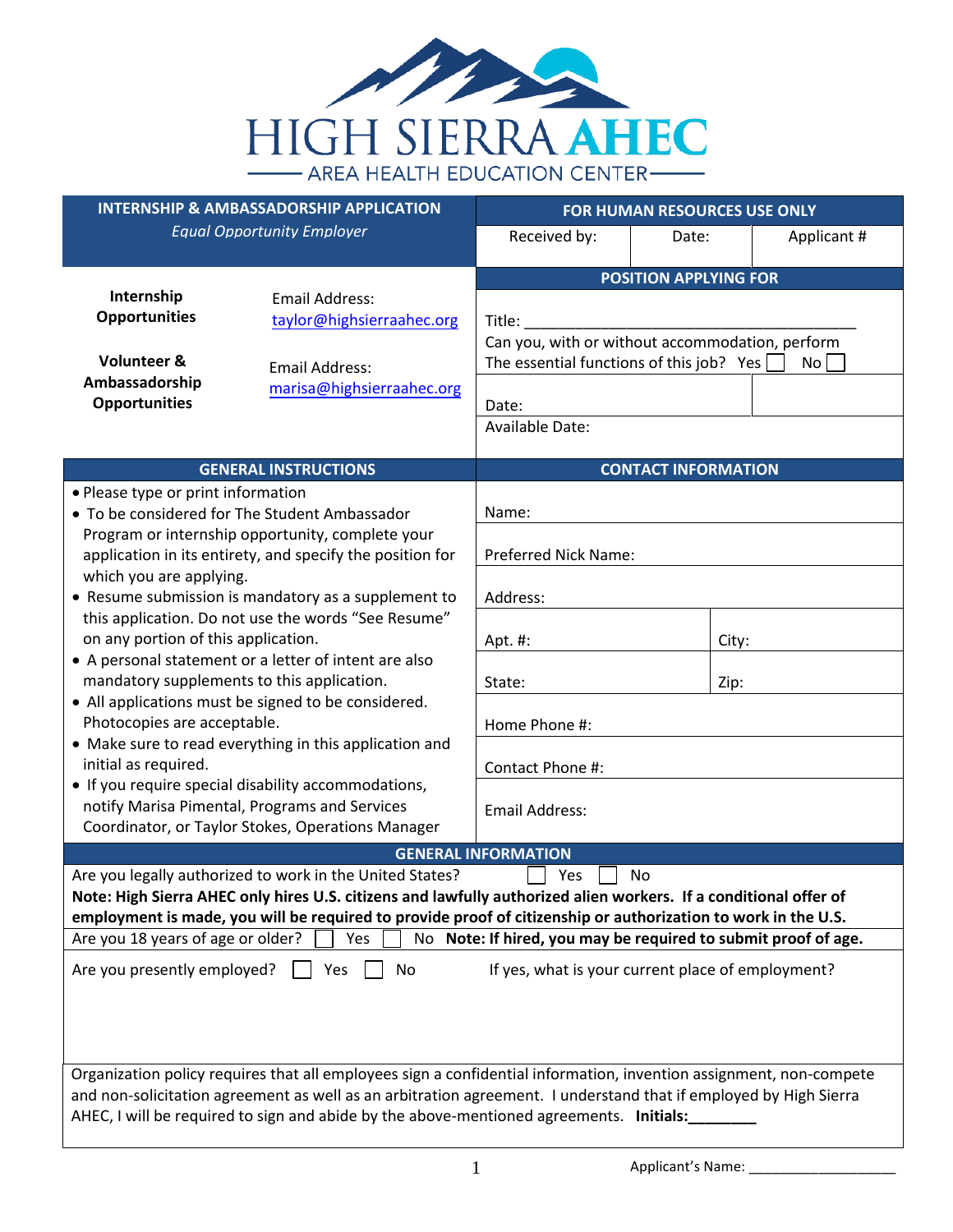

| <b>INTERNSHIP &amp; AMBASSADORSHIP APPLICATION</b>                                                                                                                                                                 |                                                                                                                                                                                                                                                                                                                                   | FOR HUMAN RESOURCES USE ONLY                                                                                                                                                                |                            |             |
|--------------------------------------------------------------------------------------------------------------------------------------------------------------------------------------------------------------------|-----------------------------------------------------------------------------------------------------------------------------------------------------------------------------------------------------------------------------------------------------------------------------------------------------------------------------------|---------------------------------------------------------------------------------------------------------------------------------------------------------------------------------------------|----------------------------|-------------|
|                                                                                                                                                                                                                    | <b>Equal Opportunity Employer</b>                                                                                                                                                                                                                                                                                                 | Received by:                                                                                                                                                                                | Date:                      | Applicant # |
|                                                                                                                                                                                                                    |                                                                                                                                                                                                                                                                                                                                   |                                                                                                                                                                                             |                            |             |
| Internship<br><b>Email Address:</b><br><b>Opportunities</b><br>taylor@highsierraahec.org<br><b>Volunteer &amp;</b><br><b>Email Address:</b><br>Ambassadorship<br>marisa@highsierraahec.org<br><b>Opportunities</b> |                                                                                                                                                                                                                                                                                                                                   | <b>POSITION APPLYING FOR</b><br>Title:<br>Can you, with or without accommodation, perform<br>The essential functions of this job? Yes<br>No <sub>1</sub><br>Date:<br><b>Available Date:</b> |                            |             |
|                                                                                                                                                                                                                    | <b>GENERAL INSTRUCTIONS</b>                                                                                                                                                                                                                                                                                                       |                                                                                                                                                                                             | <b>CONTACT INFORMATION</b> |             |
| • Please type or print information<br>• To be considered for The Student Ambassador                                                                                                                                |                                                                                                                                                                                                                                                                                                                                   | Name:                                                                                                                                                                                       |                            |             |
| Program or internship opportunity, complete your<br>application in its entirety, and specify the position for                                                                                                      |                                                                                                                                                                                                                                                                                                                                   | <b>Preferred Nick Name:</b>                                                                                                                                                                 |                            |             |
| which you are applying.                                                                                                                                                                                            | • Resume submission is mandatory as a supplement to                                                                                                                                                                                                                                                                               | Address:                                                                                                                                                                                    |                            |             |
| on any portion of this application.                                                                                                                                                                                | this application. Do not use the words "See Resume"                                                                                                                                                                                                                                                                               | Apt. #:                                                                                                                                                                                     |                            | City:       |
| • A personal statement or a letter of intent are also<br>mandatory supplements to this application.                                                                                                                |                                                                                                                                                                                                                                                                                                                                   | State:                                                                                                                                                                                      |                            | Zip:        |
| • All applications must be signed to be considered.<br>Photocopies are acceptable.                                                                                                                                 |                                                                                                                                                                                                                                                                                                                                   | Home Phone #:                                                                                                                                                                               |                            |             |
| initial as required.                                                                                                                                                                                               | • Make sure to read everything in this application and                                                                                                                                                                                                                                                                            | Contact Phone #:                                                                                                                                                                            |                            |             |
| • If you require special disability accommodations,<br>notify Marisa Pimental, Programs and Services<br>Coordinator, or Taylor Stokes, Operations Manager                                                          |                                                                                                                                                                                                                                                                                                                                   | <b>Email Address:</b>                                                                                                                                                                       |                            |             |
|                                                                                                                                                                                                                    |                                                                                                                                                                                                                                                                                                                                   | <b>GENERAL INFORMATION</b>                                                                                                                                                                  |                            |             |
|                                                                                                                                                                                                                    | Are you legally authorized to work in the United States?<br>Note: High Sierra AHEC only hires U.S. citizens and lawfully authorized alien workers. If a conditional offer of<br>employment is made, you will be required to provide proof of citizenship or authorization to work in the U.S.                                     | Yes                                                                                                                                                                                         | No                         |             |
| Are you 18 years of age or older?                                                                                                                                                                                  | Yes                                                                                                                                                                                                                                                                                                                               | No Note: If hired, you may be required to submit proof of age.                                                                                                                              |                            |             |
| Are you presently employed?                                                                                                                                                                                        | No<br>Yes                                                                                                                                                                                                                                                                                                                         | If yes, what is your current place of employment?                                                                                                                                           |                            |             |
|                                                                                                                                                                                                                    | Organization policy requires that all employees sign a confidential information, invention assignment, non-compete<br>and non-solicitation agreement as well as an arbitration agreement. I understand that if employed by High Sierra<br>AHEC, I will be required to sign and abide by the above-mentioned agreements. Initials: |                                                                                                                                                                                             |                            |             |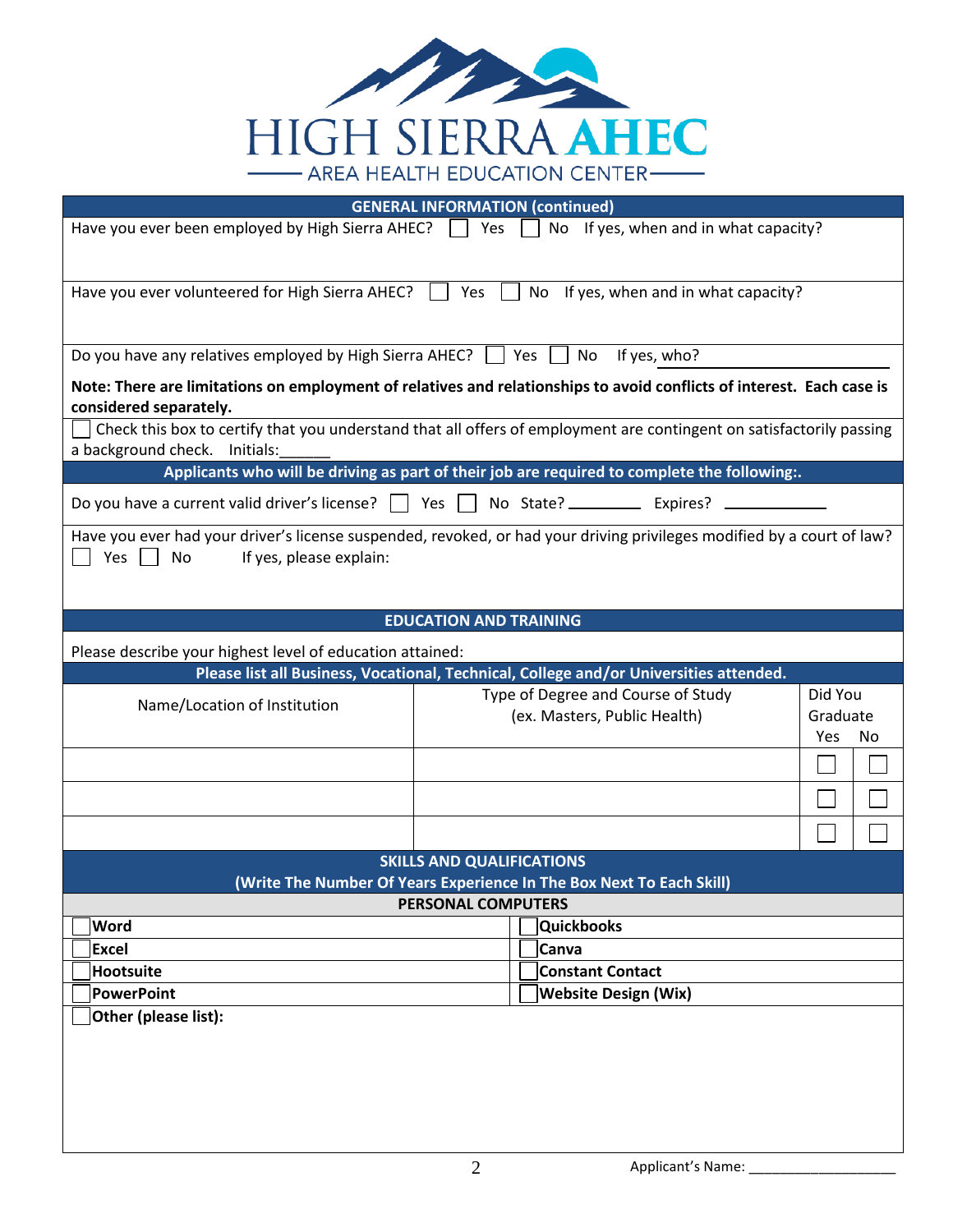

|                                                                                           | <b>GENERAL INFORMATION (continued)</b>                                                                                 |           |
|-------------------------------------------------------------------------------------------|------------------------------------------------------------------------------------------------------------------------|-----------|
| Have you ever been employed by High Sierra AHEC? $\Box$ Yes                               | No If yes, when and in what capacity?                                                                                  |           |
|                                                                                           |                                                                                                                        |           |
|                                                                                           |                                                                                                                        |           |
| Have you ever volunteered for High Sierra AHEC?                                           | No If yes, when and in what capacity?<br>Yes                                                                           |           |
|                                                                                           |                                                                                                                        |           |
| Do you have any relatives employed by High Sierra AHEC? $\Box$ Yes $\Box$ No If yes, who? |                                                                                                                        |           |
| considered separately.                                                                    | Note: There are limitations on employment of relatives and relationships to avoid conflicts of interest. Each case is  |           |
|                                                                                           | Check this box to certify that you understand that all offers of employment are contingent on satisfactorily passing   |           |
| a background check. Initials:                                                             |                                                                                                                        |           |
|                                                                                           | Applicants who will be driving as part of their job are required to complete the following:.                           |           |
|                                                                                           | Do you have a current valid driver's license? $\Box$ Yes $\Box$ No State? _________ Expires? _______                   |           |
|                                                                                           | Have you ever had your driver's license suspended, revoked, or had your driving privileges modified by a court of law? |           |
| Yes $\Box$<br>No<br>If yes, please explain:                                               |                                                                                                                        |           |
|                                                                                           |                                                                                                                        |           |
|                                                                                           |                                                                                                                        |           |
|                                                                                           | <b>EDUCATION AND TRAINING</b>                                                                                          |           |
| Please describe your highest level of education attained:                                 |                                                                                                                        |           |
|                                                                                           | Please list all Business, Vocational, Technical, College and/or Universities attended.                                 |           |
| Name/Location of Institution                                                              | Type of Degree and Course of Study                                                                                     | Did You   |
|                                                                                           | (ex. Masters, Public Health)                                                                                           | Graduate  |
|                                                                                           |                                                                                                                        | Yes<br>No |
|                                                                                           |                                                                                                                        |           |
|                                                                                           |                                                                                                                        |           |
|                                                                                           |                                                                                                                        |           |
|                                                                                           | <b>SKILLS AND QUALIFICATIONS</b>                                                                                       |           |
|                                                                                           | (Write The Number Of Years Experience In The Box Next To Each Skill)                                                   |           |
|                                                                                           | <b>PERSONAL COMPUTERS</b>                                                                                              |           |
| Word                                                                                      | <b>Quickbooks</b>                                                                                                      |           |
| <b>Excel</b>                                                                              | Canva                                                                                                                  |           |
| Hootsuite                                                                                 | <b>Constant Contact</b>                                                                                                |           |
| PowerPoint                                                                                | <b>Website Design (Wix)</b>                                                                                            |           |
| Other (please list):                                                                      |                                                                                                                        |           |
|                                                                                           |                                                                                                                        |           |
|                                                                                           |                                                                                                                        |           |
|                                                                                           |                                                                                                                        |           |
|                                                                                           |                                                                                                                        |           |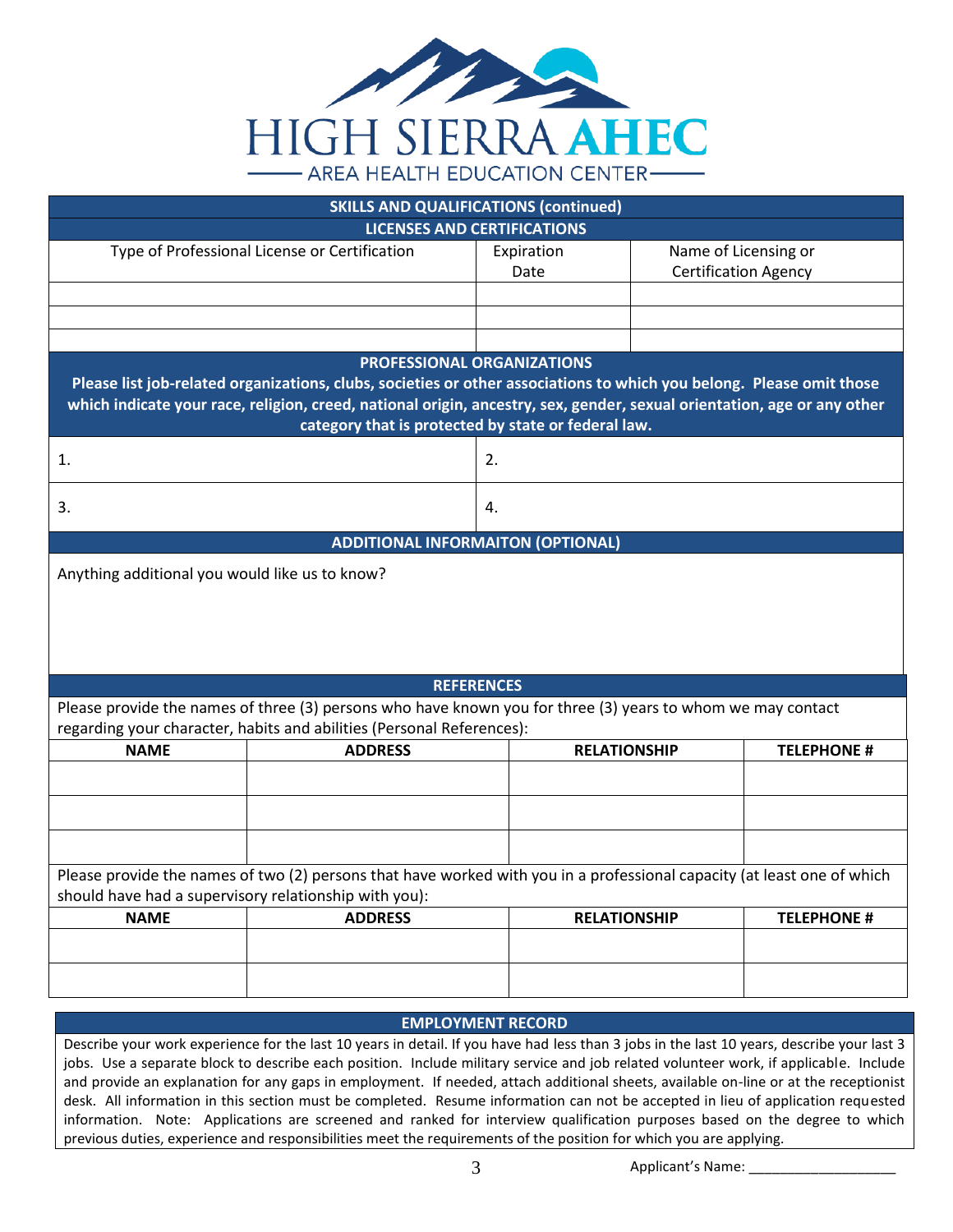

|                                                       |                                                                                                                         | <b>SKILLS AND QUALIFICATIONS (continued)</b>        |                     |                             |
|-------------------------------------------------------|-------------------------------------------------------------------------------------------------------------------------|-----------------------------------------------------|---------------------|-----------------------------|
|                                                       |                                                                                                                         | <b>LICENSES AND CERTIFICATIONS</b>                  |                     |                             |
|                                                       | Type of Professional License or Certification                                                                           | Expiration                                          |                     | Name of Licensing or        |
|                                                       |                                                                                                                         | Date                                                |                     | <b>Certification Agency</b> |
|                                                       |                                                                                                                         |                                                     |                     |                             |
|                                                       |                                                                                                                         |                                                     |                     |                             |
|                                                       |                                                                                                                         |                                                     |                     |                             |
|                                                       |                                                                                                                         | <b>PROFESSIONAL ORGANIZATIONS</b>                   |                     |                             |
|                                                       | Please list job-related organizations, clubs, societies or other associations to which you belong. Please omit those    |                                                     |                     |                             |
|                                                       | which indicate your race, religion, creed, national origin, ancestry, sex, gender, sexual orientation, age or any other |                                                     |                     |                             |
|                                                       |                                                                                                                         | category that is protected by state or federal law. |                     |                             |
|                                                       |                                                                                                                         |                                                     |                     |                             |
| 1.                                                    |                                                                                                                         | 2.                                                  |                     |                             |
|                                                       |                                                                                                                         |                                                     |                     |                             |
| 3.                                                    |                                                                                                                         | 4.                                                  |                     |                             |
|                                                       |                                                                                                                         |                                                     |                     |                             |
|                                                       |                                                                                                                         | <b>ADDITIONAL INFORMAITON (OPTIONAL)</b>            |                     |                             |
| Anything additional you would like us to know?        |                                                                                                                         |                                                     |                     |                             |
|                                                       |                                                                                                                         |                                                     |                     |                             |
|                                                       |                                                                                                                         |                                                     |                     |                             |
|                                                       |                                                                                                                         |                                                     |                     |                             |
|                                                       |                                                                                                                         |                                                     |                     |                             |
|                                                       |                                                                                                                         | <b>REFERENCES</b>                                   |                     |                             |
|                                                       | Please provide the names of three (3) persons who have known you for three (3) years to whom we may contact             |                                                     |                     |                             |
|                                                       | regarding your character, habits and abilities (Personal References):                                                   |                                                     |                     |                             |
| <b>NAME</b>                                           | <b>ADDRESS</b>                                                                                                          |                                                     | <b>RELATIONSHIP</b> | <b>TELEPHONE #</b>          |
|                                                       |                                                                                                                         |                                                     |                     |                             |
|                                                       |                                                                                                                         |                                                     |                     |                             |
|                                                       |                                                                                                                         |                                                     |                     |                             |
|                                                       |                                                                                                                         |                                                     |                     |                             |
|                                                       |                                                                                                                         |                                                     |                     |                             |
|                                                       | Please provide the names of two (2) persons that have worked with you in a professional capacity (at least one of which |                                                     |                     |                             |
| should have had a supervisory relationship with you): |                                                                                                                         |                                                     |                     |                             |
| <b>NAME</b>                                           | <b>ADDRESS</b>                                                                                                          |                                                     | <b>RELATIONSHIP</b> | <b>TELEPHONE #</b>          |
|                                                       |                                                                                                                         |                                                     |                     |                             |
|                                                       |                                                                                                                         |                                                     |                     |                             |
|                                                       |                                                                                                                         |                                                     |                     |                             |

## **EMPLOYMENT RECORD**

Describe your work experience for the last 10 years in detail. If you have had less than 3 jobs in the last 10 years, describe your last 3 jobs. Use a separate block to describe each position. Include military service and job related volunteer work, if applicable. Include and provide an explanation for any gaps in employment. If needed, attach additional sheets, available on-line or at the receptionist desk. All information in this section must be completed. Resume information can not be accepted in lieu of application requested information. Note: Applications are screened and ranked for interview qualification purposes based on the degree to which previous duties, experience and responsibilities meet the requirements of the position for which you are applying.

3 Applicant's Name: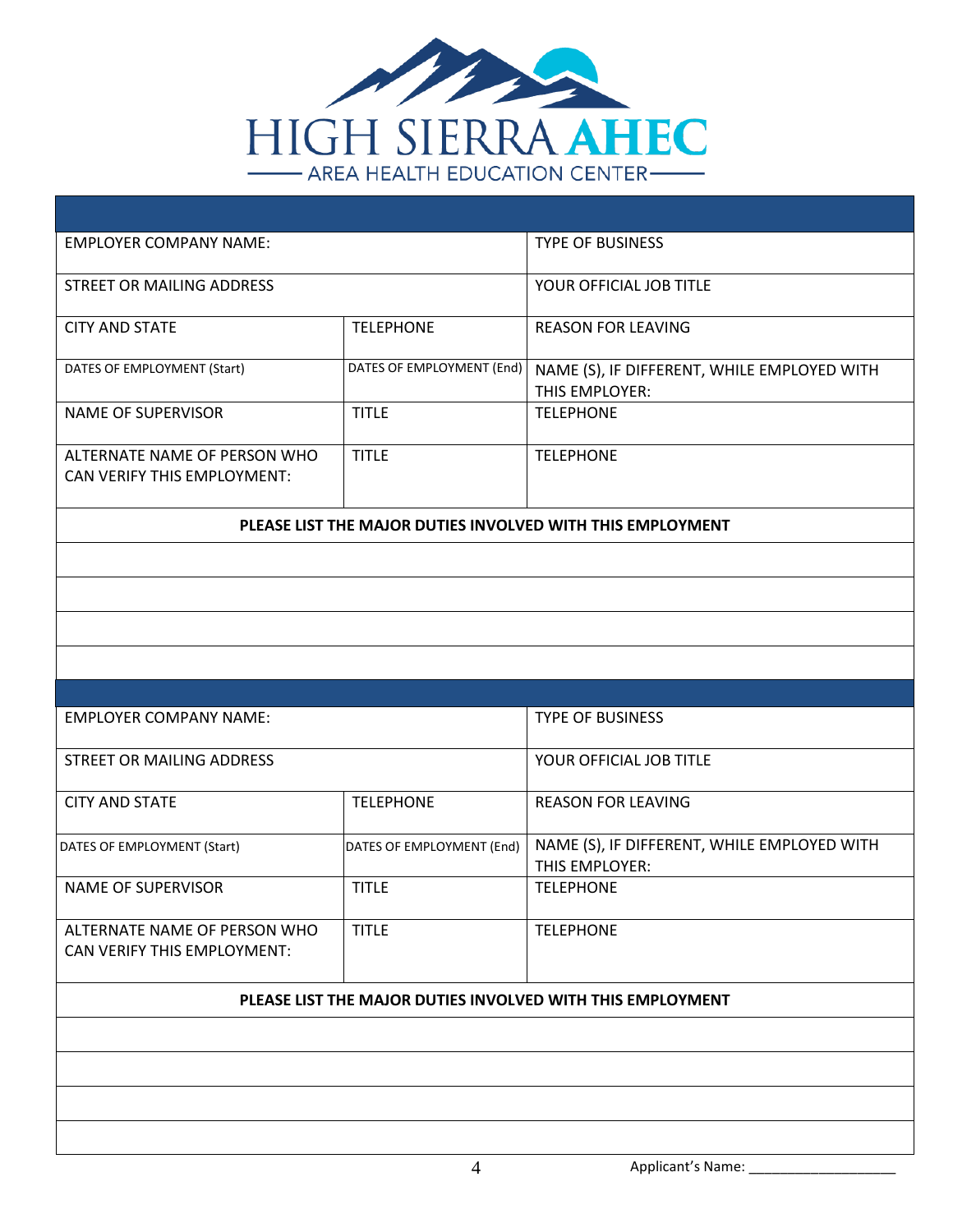

| <b>EMPLOYER COMPANY NAME:</b>                               |                           | <b>TYPE OF BUSINESS</b>                                       |
|-------------------------------------------------------------|---------------------------|---------------------------------------------------------------|
| <b>STREET OR MAILING ADDRESS</b>                            |                           | YOUR OFFICIAL JOB TITLE                                       |
| <b>CITY AND STATE</b>                                       | <b>TELEPHONE</b>          | <b>REASON FOR LEAVING</b>                                     |
| DATES OF EMPLOYMENT (Start)                                 | DATES OF EMPLOYMENT (End) | NAME (S), IF DIFFERENT, WHILE EMPLOYED WITH<br>THIS EMPLOYER: |
| <b>NAME OF SUPERVISOR</b>                                   | <b>TITLE</b>              | <b>TELEPHONE</b>                                              |
| ALTERNATE NAME OF PERSON WHO<br>CAN VERIFY THIS EMPLOYMENT: | <b>TITLE</b>              | <b>TELEPHONE</b>                                              |
|                                                             |                           | PLEASE LIST THE MAJOR DUTIES INVOLVED WITH THIS EMPLOYMENT    |
|                                                             |                           |                                                               |
|                                                             |                           |                                                               |
|                                                             |                           |                                                               |
|                                                             |                           |                                                               |
|                                                             |                           |                                                               |
| <b>EMPLOYER COMPANY NAME:</b>                               |                           | <b>TYPE OF BUSINESS</b>                                       |
|                                                             |                           |                                                               |
| STREET OR MAILING ADDRESS                                   |                           | YOUR OFFICIAL JOB TITLE                                       |
| <b>CITY AND STATE</b>                                       | <b>TELEPHONE</b>          | <b>REASON FOR LEAVING</b>                                     |
| DATES OF EMPLOYMENT (Start)                                 | DATES OF EMPLOYMENT (End) | NAME (S), IF DIFFERENT, WHILE EMPLOYED WITH<br>THIS EMPLOYER: |
| <b>NAME OF SUPERVISOR</b>                                   | <b>TITLE</b>              | <b>TELEPHONE</b>                                              |
| ALTERNATE NAME OF PERSON WHO<br>CAN VERIFY THIS EMPLOYMENT: | <b>TITLE</b>              | <b>TELEPHONE</b>                                              |
|                                                             |                           | PLEASE LIST THE MAJOR DUTIES INVOLVED WITH THIS EMPLOYMENT    |
|                                                             |                           |                                                               |
|                                                             |                           |                                                               |
|                                                             |                           |                                                               |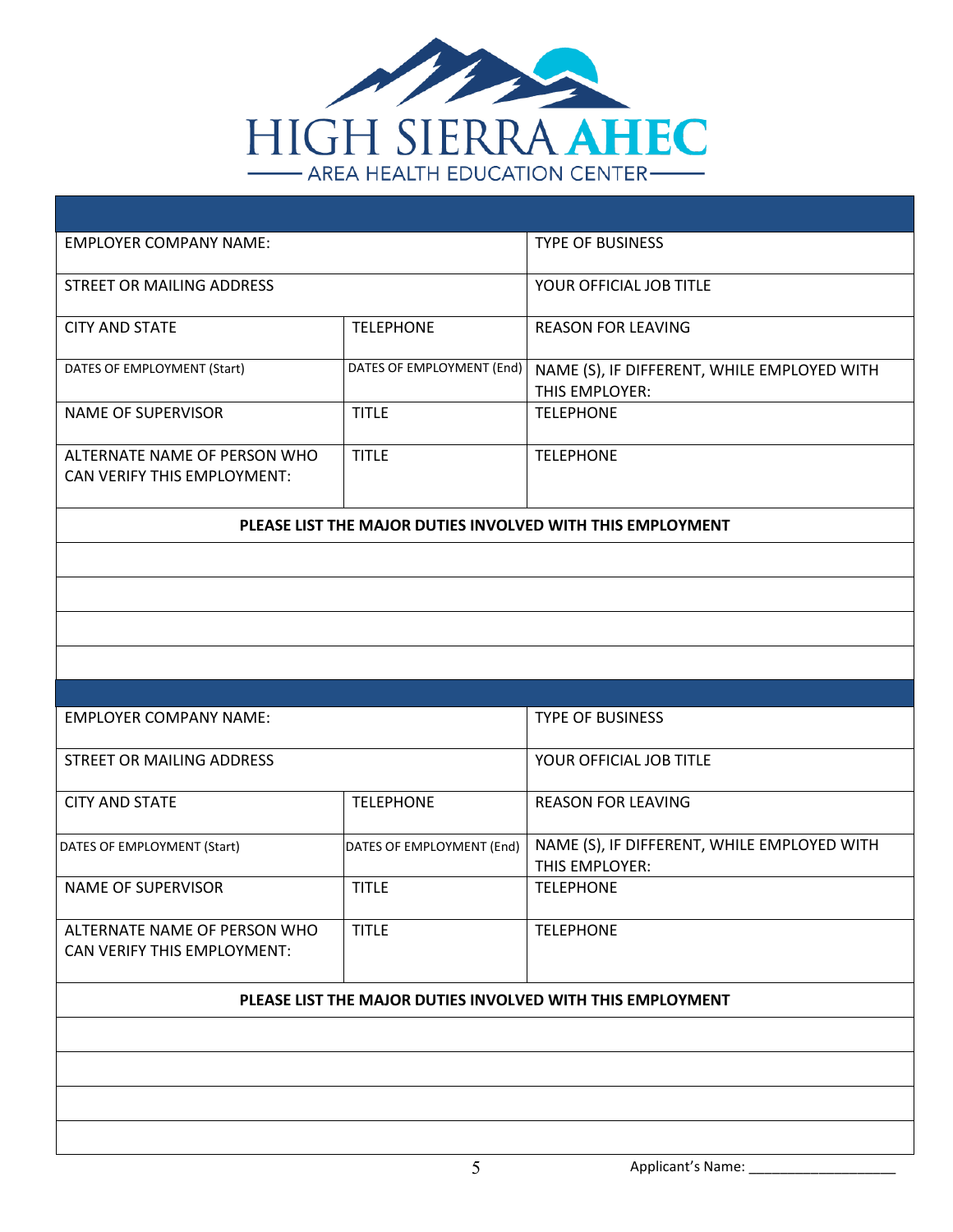

| <b>EMPLOYER COMPANY NAME:</b>                               |                           | <b>TYPE OF BUSINESS</b>                                       |
|-------------------------------------------------------------|---------------------------|---------------------------------------------------------------|
| <b>STREET OR MAILING ADDRESS</b>                            |                           | YOUR OFFICIAL JOB TITLE                                       |
| <b>CITY AND STATE</b>                                       | <b>TELEPHONE</b>          | <b>REASON FOR LEAVING</b>                                     |
| DATES OF EMPLOYMENT (Start)                                 | DATES OF EMPLOYMENT (End) | NAME (S), IF DIFFERENT, WHILE EMPLOYED WITH<br>THIS EMPLOYER: |
| <b>NAME OF SUPERVISOR</b>                                   | <b>TITLE</b>              | <b>TELEPHONE</b>                                              |
| ALTERNATE NAME OF PERSON WHO<br>CAN VERIFY THIS EMPLOYMENT: | <b>TITLE</b>              | <b>TELEPHONE</b>                                              |
|                                                             |                           | PLEASE LIST THE MAJOR DUTIES INVOLVED WITH THIS EMPLOYMENT    |
|                                                             |                           |                                                               |
|                                                             |                           |                                                               |
|                                                             |                           |                                                               |
|                                                             |                           |                                                               |
|                                                             |                           |                                                               |
| <b>EMPLOYER COMPANY NAME:</b>                               |                           | <b>TYPE OF BUSINESS</b>                                       |
|                                                             |                           |                                                               |
| STREET OR MAILING ADDRESS                                   |                           | YOUR OFFICIAL JOB TITLE                                       |
| <b>CITY AND STATE</b>                                       | <b>TELEPHONE</b>          | <b>REASON FOR LEAVING</b>                                     |
| DATES OF EMPLOYMENT (Start)                                 | DATES OF EMPLOYMENT (End) | NAME (S), IF DIFFERENT, WHILE EMPLOYED WITH<br>THIS EMPLOYER: |
| <b>NAME OF SUPERVISOR</b>                                   | <b>TITLE</b>              | <b>TELEPHONE</b>                                              |
| ALTERNATE NAME OF PERSON WHO<br>CAN VERIFY THIS EMPLOYMENT: | <b>TITLE</b>              | <b>TELEPHONE</b>                                              |
|                                                             |                           | PLEASE LIST THE MAJOR DUTIES INVOLVED WITH THIS EMPLOYMENT    |
|                                                             |                           |                                                               |
|                                                             |                           |                                                               |
|                                                             |                           |                                                               |